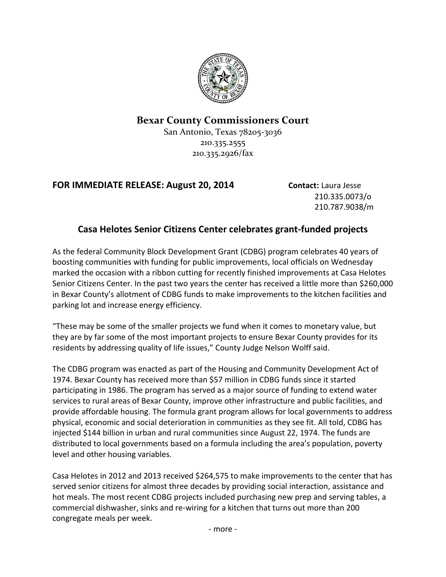

## **Bexar County Commissioners Court**

San Antonio, Texas 78205-3036 210.335.2555 210.335.2926/fax

## **FOR IMMEDIATE RELEASE: August 20, 2014 Contact:** Laura Jesse

210.335.0073/o 210.787.9038/m

## **Casa Helotes Senior Citizens Center celebrates grant-funded projects**

As the federal Community Block Development Grant (CDBG) program celebrates 40 years of boosting communities with funding for public improvements, local officials on Wednesday marked the occasion with a ribbon cutting for recently finished improvements at Casa Helotes Senior Citizens Center. In the past two years the center has received a little more than \$260,000 in Bexar County's allotment of CDBG funds to make improvements to the kitchen facilities and parking lot and increase energy efficiency.

"These may be some of the smaller projects we fund when it comes to monetary value, but they are by far some of the most important projects to ensure Bexar County provides for its residents by addressing quality of life issues," County Judge Nelson Wolff said.

The CDBG program was enacted as part of the Housing and Community Development Act of 1974. Bexar County has received more than \$57 million in CDBG funds since it started participating in 1986. The program has served as a major source of funding to extend water services to rural areas of Bexar County, improve other infrastructure and public facilities, and provide affordable housing. The formula grant program allows for local governments to address physical, economic and social deterioration in communities as they see fit. All told, CDBG has injected \$144 billion in urban and rural communities since August 22, 1974. The funds are distributed to local governments based on a formula including the area's population, poverty level and other housing variables.

Casa Helotes in 2012 and 2013 received \$264,575 to make improvements to the center that has served senior citizens for almost three decades by providing social interaction, assistance and hot meals. The most recent CDBG projects included purchasing new prep and serving tables, a commercial dishwasher, sinks and re-wiring for a kitchen that turns out more than 200 congregate meals per week.